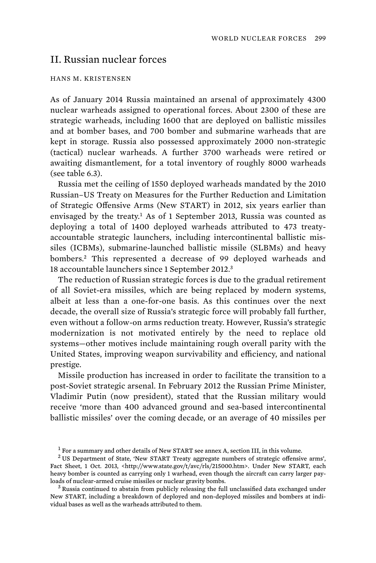# II. Russian nuclear forces

### HANS M. KRISTENSEN

As of January 2014 Russia maintained an arsenal of approximately 4300 nuclear warheads assigned to operational forces. About 2300 of these are strategic warheads, including 1600 that are deployed on ballistic missiles and at bomber bases, and 700 bomber and submarine warheads that are kept in storage. Russia also possessed approximately 2000 non-strategic (tactical) nuclear warheads. A further 3700 warheads were retired or awaiting dismantlement, for a total inventory of roughly 8000 warheads (see table 6.3).

Russia met the ceiling of 1550 deployed warheads mandated by the 2010 Russian–US Treaty on Measures for the Further Reduction and Limitation of Strategic Offensive Arms (New START) in 2012, six years earlier than envisaged by the treaty.<sup>1</sup> As of 1 September 2013, Russia was counted as deploying a total of 1400 deployed warheads attributed to 473 treatyaccountable strategic launchers, including intercontinental ballistic missiles (ICBMs), submarine-launched ballistic missile (SLBMs) and heavy bombers.<sup>2</sup> This represented a decrease of 99 deployed warheads and 18 accountable launchers since 1 September 2012.<sup>3</sup>

The reduction of Russian strategic forces is due to the gradual retirement of all Soviet-era missiles, which are being replaced by modern systems, albeit at less than a one-for-one basis. As this continues over the next decade, the overall size of Russia's strategic force will probably fall further, even without a follow-on arms reduction treaty. However, Russia's strategic modernization is not motivated entirely by the need to replace old systems—other motives include maintaining rough overall parity with the United States, improving weapon survivability and efficiency, and national prestige.

Missile production has increased in order to facilitate the transition to a post-Soviet strategic arsenal. In February 2012 the Russian Prime Minister, Vladimir Putin (now president), stated that the Russian military would receive 'more than 400 advanced ground and sea-based intercontinental ballistic missiles' over the coming decade, or an average of 40 missiles per

 $^{\rm 1}$  For a summary and other details of New START see annex A, section III, in this volume.

 $2$  US Department of State, 'New START Treaty aggregate numbers of strategic offensive arms', Fact Sheet, 1 Oct. 2013, <http://www.state.gov/t/avc/rls/215000.htm>. Under New START, each heavy bomber is counted as carrying only 1 warhead, even though the aircraft can carry larger payloads of nuclear-armed cruise missiles or nuclear gravity bombs. <sup>3</sup>

<sup>&</sup>lt;sup>3</sup> Russia continued to abstain from publicly releasing the full unclassified data exchanged under New START, including a breakdown of deployed and non-deployed missiles and bombers at individual bases as well as the warheads attributed to them.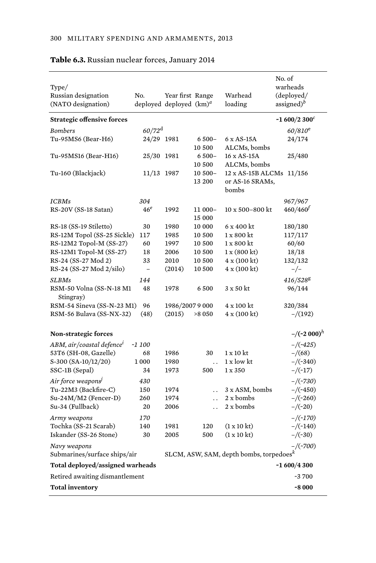| Type/<br>Russian designation<br>(NATO designation) | No.                              | Year first Range<br>deployed deployed $(km)^d$                   |                      | Warhead<br>loading                                   | No. of<br>warheads<br>(deployed/<br>assigned) <sup>b</sup> |
|----------------------------------------------------|----------------------------------|------------------------------------------------------------------|----------------------|------------------------------------------------------|------------------------------------------------------------|
| <b>Strategic offensive forces</b>                  |                                  |                                                                  |                      |                                                      | ~1 600/2 300 $^{\circ}$                                    |
| <b>Bombers</b><br>Tu-95MS6 (Bear-H6)               | 60/72 <sup>d</sup><br>24/29 1981 |                                                                  | $6500 -$<br>10 500   | 6 x AS-15A<br>ALCMs, bombs                           | $60/810^{\rm e}$<br>24/174                                 |
| Tu-95MS16 (Bear-H16)                               | 25/30 1981                       |                                                                  | $6500 -$<br>10 500   | 16 x AS-15A<br>ALCMs, bombs                          | 25/480                                                     |
| Tu-160 (Blackjack)                                 | 11/13 1987                       |                                                                  | $10500 -$<br>13 200  | 12 x AS-15B ALCMs 11/156<br>or AS-16 SRAMs,<br>bombs |                                                            |
| ICBMs                                              | 304                              |                                                                  |                      |                                                      | 967/967                                                    |
| RS-20V (SS-18 Satan)                               | $46^e$                           | 1992                                                             | 11 000-<br>15 000    | 10 x 500-800 kt                                      | $460/460^{f}$                                              |
| RS-18 (SS-19 Stiletto)                             | 30                               | 1980                                                             | 10 000               | 6 x 400 kt                                           | 180/180                                                    |
| RS-12M Topol (SS-25 Sickle)                        | 117                              | 1985                                                             | 10 500               | $1 \times 800$ kt                                    | 117/117                                                    |
| RS-12M2 Topol-M (SS-27)                            | 60                               | 1997                                                             | 10 500               | 1 x 800 kt                                           | 60/60                                                      |
| RS-12M1 Topol-M (SS-27)                            | 18                               | 2006                                                             | 10 500               | 1 x (800 kt)                                         | 18/18                                                      |
| RS-24 (SS-27 Mod 2)                                | 33                               | 2010                                                             | 10 500               | $4 \times (100 \text{ kt})$                          | 132/132                                                    |
| RS-24 (SS-27 Mod 2/silo)                           | $\overline{a}$                   | (2014)                                                           | 10 500               | 4 x (100 kt)                                         | $-/-$                                                      |
| <b>SLBMs</b>                                       | 144                              |                                                                  |                      |                                                      | $416/528^{g}$                                              |
| RSM-50 Volna (SS-N-18 M1<br>Stingray)              | 48                               | 1978                                                             | 6 500                | 3 x 50 kt                                            | 96/144                                                     |
| RSM-54 Sineva (SS-N-23 M1)                         | 96                               | 1986/20079000                                                    |                      | 4 x 100 kt                                           | 320/384                                                    |
| RSM-56 Bulava (SS-NX-32)                           | (48)                             | (2015)                                                           | >8 0 5 0             | 4 x (100 kt)                                         | $-/(192)$                                                  |
| <b>Non-strategic forces</b>                        |                                  |                                                                  |                      |                                                      | $-$ /(~2 000) <sup>h</sup>                                 |
| ABM, air/coastal defence <sup>i</sup>              | $-1100$                          |                                                                  |                      |                                                      | $-/(2425)$                                                 |
| 53T6 (SH-08, Gazelle)                              | 68                               | 1986                                                             | 30                   | 1 x 10 kt                                            | $-/(68)$                                                   |
| S-300 (SA-10/12/20)                                | 1000                             | 1980                                                             | $\ddot{\phantom{0}}$ | 1 x low kt                                           | $-/(2340)$                                                 |
| SSC-1B (Sepal)                                     | 34                               | 1973                                                             | 500                  | 1 x 350                                              | $-/(17)$                                                   |
| Air force weapons <sup>j</sup>                     | 430                              |                                                                  |                      |                                                      | $-/(-730)$                                                 |
| Tu-22M3 (Backfire-C)                               | 150                              | 1974                                                             | $\ddotsc$            | 3 x ASM, bombs                                       | $-/(2450)$                                                 |
| Su-24M/M2 (Fencer-D)                               | 260                              | 1974                                                             | $\ddot{\phantom{a}}$ | 2 x bombs                                            | $-/(260)$                                                  |
| Su-34 (Fullback)                                   | 20                               | 2006                                                             | $\ddot{\phantom{0}}$ | 2 x bombs                                            | $-/(20)$                                                   |
| Army weapons                                       | 170                              |                                                                  |                      |                                                      | $-/(-170)$                                                 |
| Tochka (SS-21 Scarab)                              | 140                              | 1981                                                             | 120                  | $(1 \times 10 \text{ kt})$                           | $-/(-140)$                                                 |
| Iskander (SS-26 Stone)                             | 30                               | 2005                                                             | 500                  | $(1 \times 10 \text{ kt})$                           | $-/(230)$                                                  |
|                                                    |                                  |                                                                  |                      |                                                      |                                                            |
| Navy weapons<br>Submarines/surface ships/air       |                                  | SLCM, ASW, SAM, depth bombs, torpedoes <sup><math>k</math></sup> |                      |                                                      | $-/(-700)$                                                 |
| Total deployed/assigned warheads                   |                                  |                                                                  |                      | $-1600/4300$                                         |                                                            |
| Retired awaiting dismantlement                     |                                  |                                                                  |                      | $-3700$                                              |                                                            |
| <b>Total inventory</b>                             |                                  |                                                                  |                      |                                                      | $-8000$                                                    |

# **Table 6.3.** Russian nuclear forces, January 2014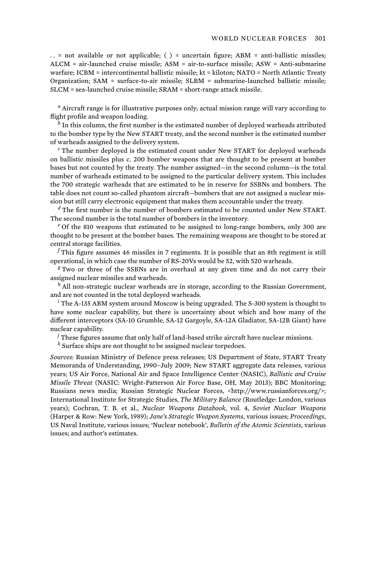$\ldots$  = not available or not applicable; ( ) = uncertain figure; ABM = anti-ballistic missiles; ALCM = air-launched cruise missile; ASM = air-to-surface missile; ASW = Anti-submarine warfare; ICBM = intercontinental ballistic missile; kt = kiloton; NATO = North Atlantic Treaty Organization; SAM = surface-to-air missile; SLBM = submarine-launched ballistic missile; SLCM = sea-launched cruise missile; SRAM = short-range attack missile.

*a* Aircraft range is for illustrative purposes only; actual mission range will vary according to flight profile and weapon loading.

*b* In this column, the first number is the estimated number of deployed warheads attributed to the bomber type by the New START treaty, and the second number is the estimated number of warheads assigned to the delivery system.

*c* The number deployed is the estimated count under New START for deployed warheads on ballistic missiles plus *c*. 200 bomber weapons that are thought to be present at bomber bases but not counted by the treaty. The number assigned—in the second column—is the total number of warheads estimated to be assigned to the particular delivery system. This includes the 700 strategic warheads that are estimated to be in reserve for SSBNs and bombers. The table does not count so-called phantom aircraft—bombers that are not assigned a nuclear mission but still carry electronic equipment that makes them accountable under the treaty.

*d* The first number is the number of bombers estimated to be counted under New START. The second number is the total number of bombers in the inventory.

<sup>e</sup> Of the 810 weapons that estimated to be assigned to long-range bombers, only 300 are thought to be present at the bomber bases. The remaining weapons are thought to be stored at central storage facilities.

*f* This figure assumes 46 missiles in 7 regiments. It is possible that an 8th regiment is still operational, in which case the number of RS-20Vs would be 52, with 520 warheads.

*g* Two or three of the SSBNs are in overhaul at any given time and do not carry their assigned nuclear missiles and warheads.

*<sup>h</sup>* All non-strategic nuclear warheads are in storage, according to the Russian Government, and are not counted in the total deployed warheads.

*i* The A-135 ABM system around Moscow is being upgraded. The S-300 system is thought to have some nuclear capability, but there is uncertainty about which and how many of the different interceptors (SA-10 Grumble, SA-12 Gargoyle, SA-12A Gladiator, SA-12B Giant) have nuclear capability.

*j* These figures assume that only half of land-based strike aircraft have nuclear missions.

*k* Surface ships are not thought to be assigned nuclear torpedoes.

*Sources*: Russian Ministry of Defence press releases; US Department of State, START Treaty Memoranda of Understanding, 1990–July 2009; New START aggregate data releases, various years; US Air Force, National Air and Space Intelligence Center (NASIC), *Ballistic and Cruise Missile Threat* (NASIC: Wright-Patterson Air Force Base, OH, May 2013); BBC Monitoring; Russians news media; Russian Strategic Nuclear Forces, <http://www.russianforces.org/>; International Institute for Strategic Studies, *The Military Balance* (Routledge: London, various years); Cochran, T. B. et al., *Nuclear Weapons Databook*, vol. 4, *Soviet Nuclear Weapons* (Harper & Row: New York, 1989); *Jane's Strategic Weapon Systems*, various issues; *Proceedings*, US Naval Institute, various issues; 'Nuclear notebook', *Bulletin of the Atomic Scientists*, various issues; and author's estimates.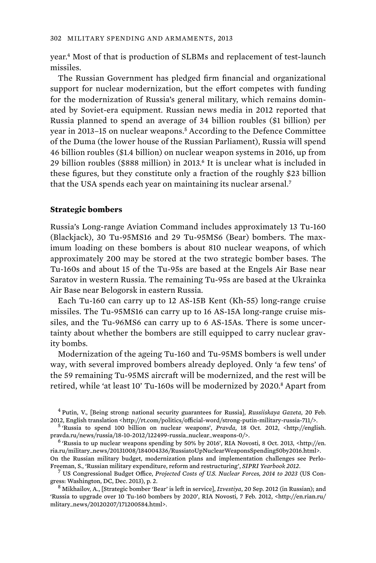year.<sup>4</sup> Most of that is production of SLBMs and replacement of test-launch missiles.

The Russian Government has pledged firm financial and organizational support for nuclear modernization, but the effort competes with funding for the modernization of Russia's general military, which remains dominated by Soviet-era equipment. Russian news media in 2012 reported that Russia planned to spend an average of 34 billion roubles (\$1 billion) per year in 2013–15 on nuclear weapons.<sup>5</sup> According to the Defence Committee of the Duma (the lower house of the Russian Parliament), Russia will spend 46 billion roubles (\$1.4 billion) on nuclear weapon systems in 2016, up from 29 billion roubles (\$888 million) in 2013.<sup>6</sup> It is unclear what is included in these figures, but they constitute only a fraction of the roughly \$23 billion that the USA spends each year on maintaining its nuclear arsenal.<sup>7</sup>

## **Strategic bombers**

Russia's Long-range Aviation Command includes approximately 13 Tu-160 (Blackjack), 30 Tu-95MS16 and 29 Tu-95MS6 (Bear) bombers. The maximum loading on these bombers is about 810 nuclear weapons, of which approximately 200 may be stored at the two strategic bomber bases. The Tu-160s and about 15 of the Tu-95s are based at the Engels Air Base near Saratov in western Russia. The remaining Tu-95s are based at the Ukrainka Air Base near Belogorsk in eastern Russia.

Each Tu-160 can carry up to 12 AS-15B Kent (Kh-55) long-range cruise missiles. The Tu-95MS16 can carry up to 16 AS-15A long-range cruise missiles, and the Tu-96MS6 can carry up to 6 AS-15As. There is some uncertainty about whether the bombers are still equipped to carry nuclear gravity bombs.

Modernization of the ageing Tu-160 and Tu-95MS bombers is well under way, with several improved bombers already deployed. Only 'a few tens' of the 59 remaining Tu-95MS aircraft will be modernized, and the rest will be retired, while 'at least 10' Tu-160s will be modernized by 2020.<sup>8</sup> Apart from

4 Putin, V., [Being strong: national security guarantees for Russia], *Russiiskaya Gazeta*, 20 Feb. 2012, English translation <http://rt.com/politics/official-word/strong-putin-military-russia-711/>.

 'Russia to spend 100 billion on nuclear weapons', *Pravda*, 18 Oct. 2012, <http://english. pravda.ru/news/russia/18-10-2012/122499-russia\_nuclear\_weapons-0/>. <sup>6</sup>

 $<sup>6</sup>$  'Russia to up nuclear weapons spending by 50% by 2016', RIA Novosti, 8 Oct. 2013, <http://en.</sup> ria.ru/military\_news/20131008/184004336/RussiatoUpNuclearWeaponsSpending50by2016.html>. On the Russian military budget, modernization plans and implementation challenges see Perlo-Freeman, S., 'Russian military expenditure, reform and restructuring', *SIPRI Yearbook 2012*. <sup>7</sup>

 US Congressional Budget Office, *Projected Costs of U.S. Nuclear Forces, 2014 to 2023* (US Congress: Washington, DC, Dec. 2013), p. 2. <sup>8</sup>

 Mikhailov, A., [Strategic bomber 'Bear' is left in service], *Izvestiya*, 20 Sep. 2012 (in Russian); and 'Russia to upgrade over 10 Tu-160 bombers by 2020', RIA Novosti, 7 Feb. 2012, <http://en.rian.ru/ mlitary\_news/20120207/171200584.html>.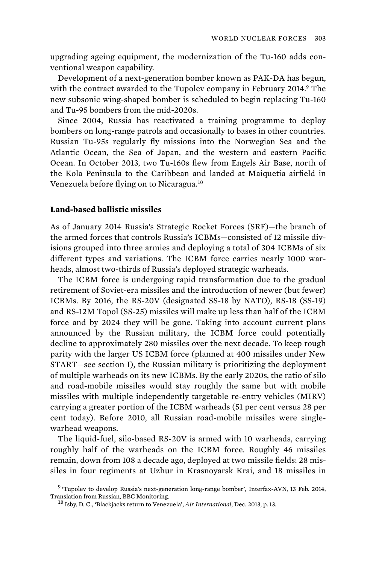upgrading ageing equipment, the modernization of the Tu-160 adds conventional weapon capability.

Development of a next-generation bomber known as PAK-DA has begun, with the contract awarded to the Tupolev company in February 2014.<sup>9</sup> The new subsonic wing-shaped bomber is scheduled to begin replacing Tu-160 and Tu-95 bombers from the mid-2020s.

Since 2004, Russia has reactivated a training programme to deploy bombers on long-range patrols and occasionally to bases in other countries. Russian Tu-95s regularly fly missions into the Norwegian Sea and the Atlantic Ocean, the Sea of Japan, and the western and eastern Pacific Ocean. In October 2013, two Tu-160s flew from Engels Air Base, north of the Kola Peninsula to the Caribbean and landed at Maiquetia airfield in Venezuela before flying on to Nicaragua.<sup>10</sup>

## **Land-based ballistic missiles**

As of January 2014 Russia's Strategic Rocket Forces (SRF)—the branch of the armed forces that controls Russia's ICBMs—consisted of 12 missile divisions grouped into three armies and deploying a total of 304 ICBMs of six different types and variations. The ICBM force carries nearly 1000 warheads, almost two-thirds of Russia's deployed strategic warheads.

The ICBM force is undergoing rapid transformation due to the gradual retirement of Soviet-era missiles and the introduction of newer (but fewer) ICBMs. By 2016, the RS-20V (designated SS-18 by NATO), RS-18 (SS-19) and RS-12M Topol (SS-25) missiles will make up less than half of the ICBM force and by 2024 they will be gone. Taking into account current plans announced by the Russian military, the ICBM force could potentially decline to approximately 280 missiles over the next decade. To keep rough parity with the larger US ICBM force (planned at 400 missiles under New START—see section I), the Russian military is prioritizing the deployment of multiple warheads on its new ICBMs. By the early 2020s, the ratio of silo and road-mobile missiles would stay roughly the same but with mobile missiles with multiple independently targetable re-entry vehicles (MIRV) carrying a greater portion of the ICBM warheads (51 per cent versus 28 per cent today). Before 2010, all Russian road-mobile missiles were singlewarhead weapons.

The liquid-fuel, silo-based RS-20V is armed with 10 warheads, carrying roughly half of the warheads on the ICBM force. Roughly 46 missiles remain, down from 108 a decade ago, deployed at two missile fields: 28 missiles in four regiments at Uzhur in Krasnoyarsk Krai, and 18 missiles in

<sup>&</sup>lt;sup>9</sup> 'Tupolev to develop Russia's next-generation long-range bomber', Interfax-AVN, 13 Feb. 2014, Translation from Russian, BBC Monitoring. 10 Isby, D. C., 'Blackjacks return to Venezuela', *Air International*, Dec. 2013, p. 13.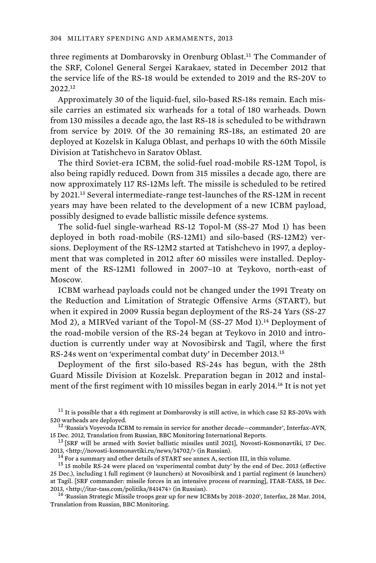three regiments at Dombarovsky in Orenburg Oblast.<sup>11</sup> The Commander of the SRF, Colonel General Sergei Karakaev, stated in December 2012 that the service life of the RS-18 would be extended to 2019 and the RS-20V to 2022.<sup>12</sup>

Approximately 30 of the liquid-fuel, silo-based RS-18s remain. Each missile carries an estimated six warheads for a total of 180 warheads. Down from 130 missiles a decade ago, the last RS-18 is scheduled to be withdrawn from service by 2019. Of the 30 remaining RS-18s, an estimated 20 are deployed at Kozelsk in Kaluga Oblast, and perhaps 10 with the 60th Missile Division at Tatishchevo in Saratov Oblast.

The third Soviet-era ICBM, the solid-fuel road-mobile RS-12M Topol, is also being rapidly reduced. Down from 315 missiles a decade ago, there are now approximately 117 RS-12Ms left. The missile is scheduled to be retired by 2021.<sup>13</sup> Several intermediate-range test-launches of the RS-12M in recent years may have been related to the development of a new ICBM payload, possibly designed to evade ballistic missile defence systems.

The solid-fuel single-warhead RS-12 Topol-M (SS-27 Mod 1) has been deployed in both road-mobile (RS-12M1) and silo-based (RS-12M2) versions. Deployment of the RS-12M2 started at Tatishchevo in 1997, a deployment that was completed in 2012 after 60 missiles were installed. Deployment of the RS-12M1 followed in 2007–10 at Teykovo, north-east of Moscow.

ICBM warhead payloads could not be changed under the 1991 Treaty on the Reduction and Limitation of Strategic Offensive Arms (START), but when it expired in 2009 Russia began deployment of the RS-24 Yars (SS-27 Mod 2), a MIRVed variant of the Topol-M (SS-27 Mod 1).<sup>14</sup> Deployment of the road-mobile version of the RS-24 began at Teykovo in 2010 and introduction is currently under way at Novosibirsk and Tagil, where the first RS-24s went on 'experimental combat duty' in December 2013.<sup>15</sup>

Deployment of the first silo-based RS-24s has begun, with the 28th Guard Missile Division at Kozelsk. Preparation began in 2012 and instalment of the first regiment with 10 missiles began in early 2014.<sup>16</sup> It is not yet

 $11$  It is possible that a 4th regiment at Dombarovsky is still active, in which case 52 RS-20Vs with 520 warheads are deployed.<br><sup>12</sup> 'Russia's Voyevoda ICBM to remain in service for another decade—commander', Interfax-AVN,

15 Dec. 2012, Translation from Russian, BBC Monitoring International Reports.<br><sup>13</sup> [SRF will be armed with Soviet ballistic missiles until 2021], Novosti-Kosmonavtiki, 17 Dec.<br>2013, <http://novosti-kosmonavtiki.ru/news/14

 $^{14}$  For a summary and other details of START see annex A, section III, in this volume.<br> $^{15}$  15 mobile RS-24 were placed on 'experimental combat duty' by the end of Dec. 2013 (effective 25 Dec.), including 1 full regiment (9 launchers) at Novosibirsk and 1 partial regiment (6 launchers) at Tagil. [SRF commander: missile forces in an intensive process of rearming], ITAR-TASS, 18 Dec. 2013, <http://itar-tass.com/politika/841474> (in Russian). 16 'Russian Strategic Missile troops gear up for new ICBMs by 2018–2020', Interfax, 28 Mar. 2014,

Translation from Russian, BBC Monitoring.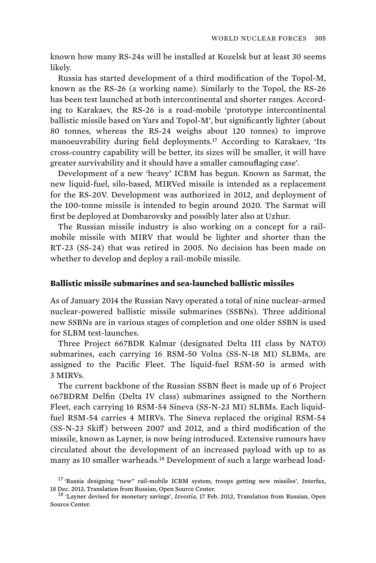known how many RS-24s will be installed at Kozelsk but at least 30 seems likely.

Russia has started development of a third modification of the Topol-M, known as the RS-26 (a working name). Similarly to the Topol, the RS-26 has been test launched at both intercontinental and shorter ranges. According to Karakaev, the RS-26 is a road-mobile 'prototype intercontinental ballistic missile based on Yars and Topol-M', but significantly lighter (about 80 tonnes, whereas the RS-24 weighs about 120 tonnes) to improve manoeuvrability during field deployments.<sup>17</sup> According to Karakaev, 'Its cross-country capability will be better, its sizes will be smaller, it will have greater survivability and it should have a smaller camouflaging case'.

Development of a new 'heavy' ICBM has begun. Known as Sarmat, the new liquid-fuel, silo-based, MIRVed missile is intended as a replacement for the RS-20V. Development was authorized in 2012, and deployment of the 100-tonne missile is intended to begin around 2020. The Sarmat will first be deployed at Dombarovsky and possibly later also at Uzhur.

The Russian missile industry is also working on a concept for a railmobile missile with MIRV that would be lighter and shorter than the RT-23 (SS-24) that was retired in 2005. No decision has been made on whether to develop and deploy a rail-mobile missile.

### **Ballistic missile submarines and sea-launched ballistic missiles**

As of January 2014 the Russian Navy operated a total of nine nuclear-armed nuclear-powered ballistic missile submarines (SSBNs). Three additional new SSBNs are in various stages of completion and one older SSBN is used for SLBM test-launches.

Three Project 667BDR Kalmar (designated Delta III class by NATO) submarines, each carrying 16 RSM-50 Volna (SS-N-18 M1) SLBMs, are assigned to the Pacific Fleet. The liquid-fuel RSM-50 is armed with 3 MIRVs.

The current backbone of the Russian SSBN fleet is made up of 6 Project 667BDRM Delfin (Delta IV class) submarines assigned to the Northern Fleet, each carrying 16 RSM-54 Sineva (SS-N-23 M1) SLBMs. Each liquidfuel RSM-54 carries 4 MIRVs. The Sineva replaced the original RSM-54 (SS-N-23 Skiff) between 2007 and 2012, and a third modification of the missile, known as Layner, is now being introduced. Extensive rumours have circulated about the development of an increased payload with up to as many as 10 smaller warheads.18 Development of such a large warhead load-

<sup>&</sup>lt;sup>17</sup> 'Russia designing "new" rail-mobile ICBM system, troops getting new missiles', Interfax, 18 Dec. 2013, Translation from Russian, Open Source Center. 18 'Layner devised for monetary savings', *Izvestia*, 17 Feb. 2012, Translation from Russian, Open

Source Center.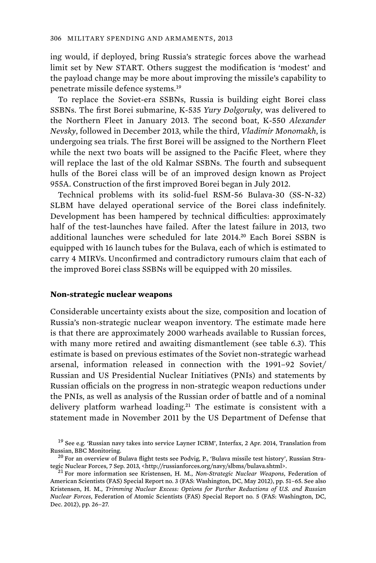ing would, if deployed, bring Russia's strategic forces above the warhead limit set by New START. Others suggest the modification is 'modest' and the payload change may be more about improving the missile's capability to penetrate missile defence systems.<sup>19</sup>

To replace the Soviet-era SSBNs, Russia is building eight Borei class SSBNs. The first Borei submarine, K-535 *Yury Dolgoruky*, was delivered to the Northern Fleet in January 2013. The second boat, K-550 *Alexander Nevsky*, followed in December 2013, while the third, *Vladimir Monomakh*, is undergoing sea trials. The first Borei will be assigned to the Northern Fleet while the next two boats will be assigned to the Pacific Fleet, where they will replace the last of the old Kalmar SSBNs. The fourth and subsequent hulls of the Borei class will be of an improved design known as Project 955A. Construction of the first improved Borei began in July 2012.

Technical problems with its solid-fuel RSM-56 Bulava-30 (SS-N-32) SLBM have delayed operational service of the Borei class indefinitely. Development has been hampered by technical difficulties: approximately half of the test-launches have failed. After the latest failure in 2013, two additional launches were scheduled for late 2014.<sup>20</sup> Each Borei SSBN is equipped with 16 launch tubes for the Bulava, each of which is estimated to carry 4 MIRVs. Unconfirmed and contradictory rumours claim that each of the improved Borei class SSBNs will be equipped with 20 missiles.

## **Non-strategic nuclear weapons**

Considerable uncertainty exists about the size, composition and location of Russia's non-strategic nuclear weapon inventory. The estimate made here is that there are approximately 2000 warheads available to Russian forces, with many more retired and awaiting dismantlement (see table 6.3). This estimate is based on previous estimates of the Soviet non-strategic warhead arsenal, information released in connection with the 1991–92 Soviet/ Russian and US Presidential Nuclear Initiatives (PNIs) and statements by Russian officials on the progress in non-strategic weapon reductions under the PNIs, as well as analysis of the Russian order of battle and of a nominal delivery platform warhead loading.<sup>21</sup> The estimate is consistent with a statement made in November 2011 by the US Department of Defense that

 $19$  See e.g. 'Russian navy takes into service Layner ICBM', Interfax, 2 Apr. 2014, Translation from Russian. BBC Monitoring.

 $20$  For an overview of Bulava flight tests see Podvig, P., 'Bulava missile test history', Russian Strategic Nuclear Forces, 7 Sep. 2013, <http://russianforces.org/navy/slbms/bulava.shtml>. 21 For more information see Kristensen, H. M., *Non-Strategic Nuclear Weapons*, Federation of

American Scientists (FAS) Special Report no. 3 (FAS: Washington, DC, May 2012), pp. 51–65. See also Kristensen, H. M., *Trimming Nuclear Excess: Options for Further Reductions of U.S. and Russian Nuclear Forces*, Federation of Atomic Scientists (FAS) Special Report no. 5 (FAS: Washington, DC, Dec. 2012), pp. 26–27.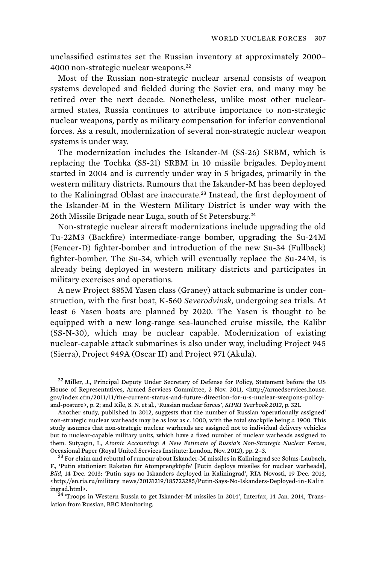unclassified estimates set the Russian inventory at approximately 2000– 4000 non-strategic nuclear weapons.<sup>22</sup>

Most of the Russian non-strategic nuclear arsenal consists of weapon systems developed and fielded during the Soviet era, and many may be retired over the next decade. Nonetheless, unlike most other nucleararmed states, Russia continues to attribute importance to non-strategic nuclear weapons, partly as military compensation for inferior conventional forces. As a result, modernization of several non-strategic nuclear weapon systems is under way.

The modernization includes the Iskander-M (SS-26) SRBM, which is replacing the Tochka (SS-21) SRBM in 10 missile brigades. Deployment started in 2004 and is currently under way in 5 brigades, primarily in the western military districts. Rumours that the Iskander-M has been deployed to the Kaliningrad Oblast are inaccurate.<sup>23</sup> Instead, the first deployment of the Iskander-M in the Western Military District is under way with the 26th Missile Brigade near Luga, south of St Petersburg.<sup>24</sup>

Non-strategic nuclear aircraft modernizations include upgrading the old Tu-22M3 (Backfire) intermediate-range bomber, upgrading the Su-24M (Fencer-D) fighter-bomber and introduction of the new Su-34 (Fullback) fighter-bomber. The Su-34, which will eventually replace the Su-24M, is already being deployed in western military districts and participates in military exercises and operations.

A new Project 885M Yasen class (Graney) attack submarine is under construction, with the first boat, K-560 *Severodvinsk*, undergoing sea trials. At least 6 Yasen boats are planned by 2020. The Yasen is thought to be equipped with a new long-range sea-launched cruise missile, the Kalibr (SS-N-30), which may be nuclear capable. Modernization of existing nuclear-capable attack submarines is also under way, including Project 945 (Sierra), Project 949A (Oscar II) and Project 971 (Akula).

<sup>22</sup> Miller, J., Principal Deputy Under Secretary of Defense for Policy, Statement before the US House of Representatives, Armed Services Committee, 2 Nov. 2011, <http://armedservices.house. gov/index.cfm/2011/11/the-current-status-and-future-direction-for-u-s-nuclear-weapons-policyand-posture>, p. 2; and Kile, S. N. et al., 'Russian nuclear forces', *SIPRI Yearbook 2012*, p. 321.

 Another study, published in 2012, suggests that the number of Russian 'operationally assigned' non-strategic nuclear warheads may be as low as *c*. 1000, with the total stockpile being *c*. 1900. This study assumes that non-strategic nuclear warheads are assigned not to individual delivery vehicles but to nuclear-capable military units, which have a fixed number of nuclear warheads assigned to them. Sutyagin, I., *Atomic Accounting: A New Estimate of Russia's Non-Strategic Nuclear Forces*, Occasional Paper (Royal United Services Institute: London, Nov. 2012), pp. 2-3.

<sup>23</sup> For claim and rebuttal of rumour about Iskander-M missiles in Kaliningrad see Solms-Laubach, F., 'Putin stationiert Raketen für Atomprengköpfe' [Putin deploys missiles for nuclear warheads], *Bild*, 14 Dec. 2013; 'Putin says no Iskanders deployed in Kaliningrad', RIA Novosti, 19 Dec. 2013, <http://en.ria.ru/military\_news/20131219/185723285/Putin-Says-No-Iskanders-Deployed-in-Kalin ingrad.html>.<br><sup>24</sup> 'Troops in Western Russia to get Iskander-M missiles in 2014', Interfax, 14 Jan. 2014, Trans-

lation from Russian, BBC Monitoring.